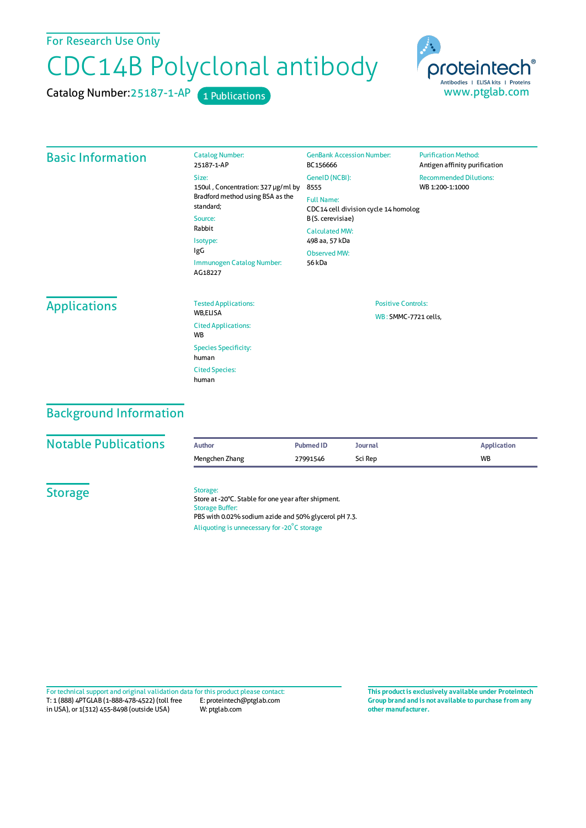For Research Use Only

# CDC14B Polyclonal antibody

Catalog Number: 25187-1-AP 1 Publications



#### Basic Information

| <b>Catalog Number:</b><br>25187-1-AP                                                         | <b>GenBank Accession Number:</b><br>BC156666              |
|----------------------------------------------------------------------------------------------|-----------------------------------------------------------|
| Size:<br>150ul, Concentration: 327 µg/ml by<br>Bradford method using BSA as the<br>standard: | GeneID (NCBI):<br>8555                                    |
|                                                                                              | <b>Full Name:</b><br>CDC14 cell division cycle 14 homolog |
| Source:                                                                                      | B(S. cerevisiae)                                          |
| Rabbit<br>Isotype:                                                                           | Calculated MW:<br>498 aa, 57 kDa                          |
| lgG                                                                                          | Observed MW:                                              |
| Immunogen Catalog Number:<br>AG18227                                                         | 56 kDa                                                    |

**Purification Method:** Antigen affinity purification Recommended Dilutions: WB 1:200-1:1000

## **Applications**

| <b>Tested Applications:</b><br><b>WB.ELISA</b>     |
|----------------------------------------------------|
| <b>Cited Applications:</b><br><b>W<sub>R</sub></b> |
| <b>Species Specificity:</b><br>human               |
| <b>Cited Species:</b><br>human                     |

Positive Controls: WB: SMMC-7721 cells,

## Background Information

| <b>Notable Publications</b> | <b>Author</b>                                                                                                                                                                                    | <b>Pubmed ID</b> | <b>Journal</b> | <b>Application</b> |  |
|-----------------------------|--------------------------------------------------------------------------------------------------------------------------------------------------------------------------------------------------|------------------|----------------|--------------------|--|
|                             | Mengchen Zhang                                                                                                                                                                                   | 27991546         | Sci Rep        | <b>WB</b>          |  |
| <b>Storage</b>              | Storage:<br>Store at -20°C. Stable for one year after shipment.<br><b>Storage Buffer:</b><br>PBS with 0.02% sodium azide and 50% glycerol pH 7.3.<br>Aliquoting is unnecessary for -20°C storage |                  |                |                    |  |

T: 1 (888) 4PTGLAB (1-888-478-4522) (toll free in USA), or 1(312) 455-8498 (outside USA) E: proteintech@ptglab.com W: ptglab.com Fortechnical support and original validation data forthis product please contact: **This productis exclusively available under Proteintech**

**Group brand and is not available to purchase from any other manufacturer.**